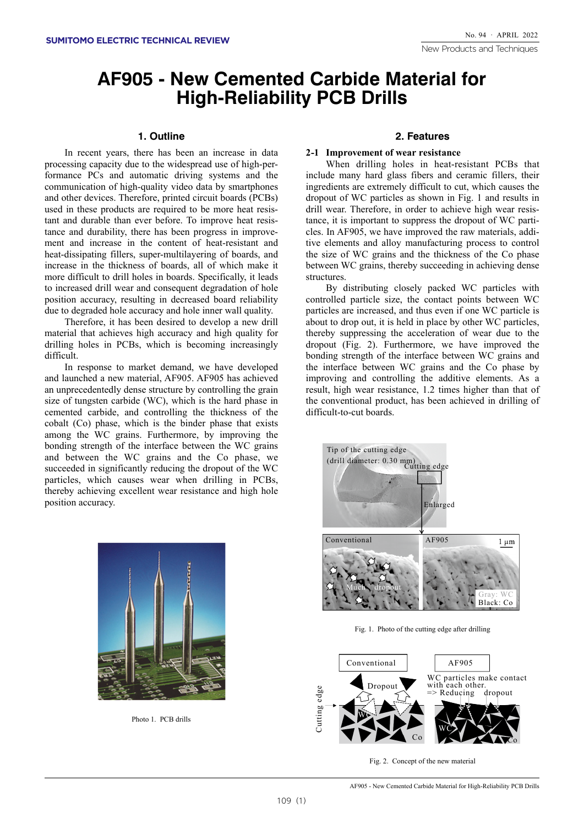# **AF905 - New Cemented Carbide Material for High-Reliability PCB Drills**

## **Outline 1.**

In recent years, there has been an increase in data formance PCs and automatic driving systems and the processing capacity due to the widespread use of high-percommunication of high-quality video data by smartphones and other devices. Therefore, printed circuit boards (PCBs) ment and increase in the content of heat-resistant and tance and durability, there has been progress in improvetant and durable than ever before. To improve heat resisused in these products are required to be more heat resisheat-dissipating-fillers, super-multilayering of boards, and increase in the thickness of boards, all of which make it more difficult to drill holes in boards. Specifically, it leads to increased drill wear and consequent degradation of hole position accuracy, resulting in decreased board reliability due to degraded hole accuracy and hole inner wall quality.

Therefore, it has been desired to develop a new drill material that achieves high accuracy and high quality for drilling holes in PCBs, which is becoming increasingly difficult.

In response to market demand, we have developed and launched a new material, AF905. AF905 has achieved an unprecedentedly dense structure by controlling the grain size of tungsten carbide (WC), which is the hard phase in cemented carbide, and controlling the thickness of the  $\cosh(t)$  cobalt (Co) phase, which is the binder phase that exists among the WC grains. Furthermore, by improving the bonding strength of the interface between the WC grains and between the WC grains and the Co phase, we succeeded in significantly reducing the dropout of the WC particles, which causes wear when drilling in PCBs, thereby achieving excellent wear resistance and high hole position accuracy.

## **Features 2.**

#### **2-1 Improvement of wear resistance**

When drilling holes in heat-resistant PCBs that include many hard glass fibers and ceramic fillers, their ingredients are extremely difficult to cut, which causes the dropout of WC particles as shown in Fig. 1 and results in tive elements and alloy manufacturing process to control cles. In AF905, we have improved the raw materials, additance, it is important to suppress the dropout of WC partidrill wear. Therefore, in order to achieve high wear resisthe size of WC grains and the thickness of the Co phase between WC grains, thereby succeeding in achieving dense .structures

By distributing closely packed WC particles with controlled particle size, the contact points between WC particles are increased, and thus even if one WC particle is about to drop out, it is held in place by other WC particles, thereby suppressing the acceleration of wear due to the dropout (Fig. 2). Furthermore, we have improved the bonding strength of the interface between WC grains and the interface between WC grains and the Co phase by improving and controlling the additive elements. As a result, high wear resistance, 1.2 times higher than that of the conventional product, has been achieved in drilling of difficult-to-cut boards.



Fig. 1. Photo of the cutting edge after drilling



Fig. 2. Concept of the new material



Photo 1. PCB drills